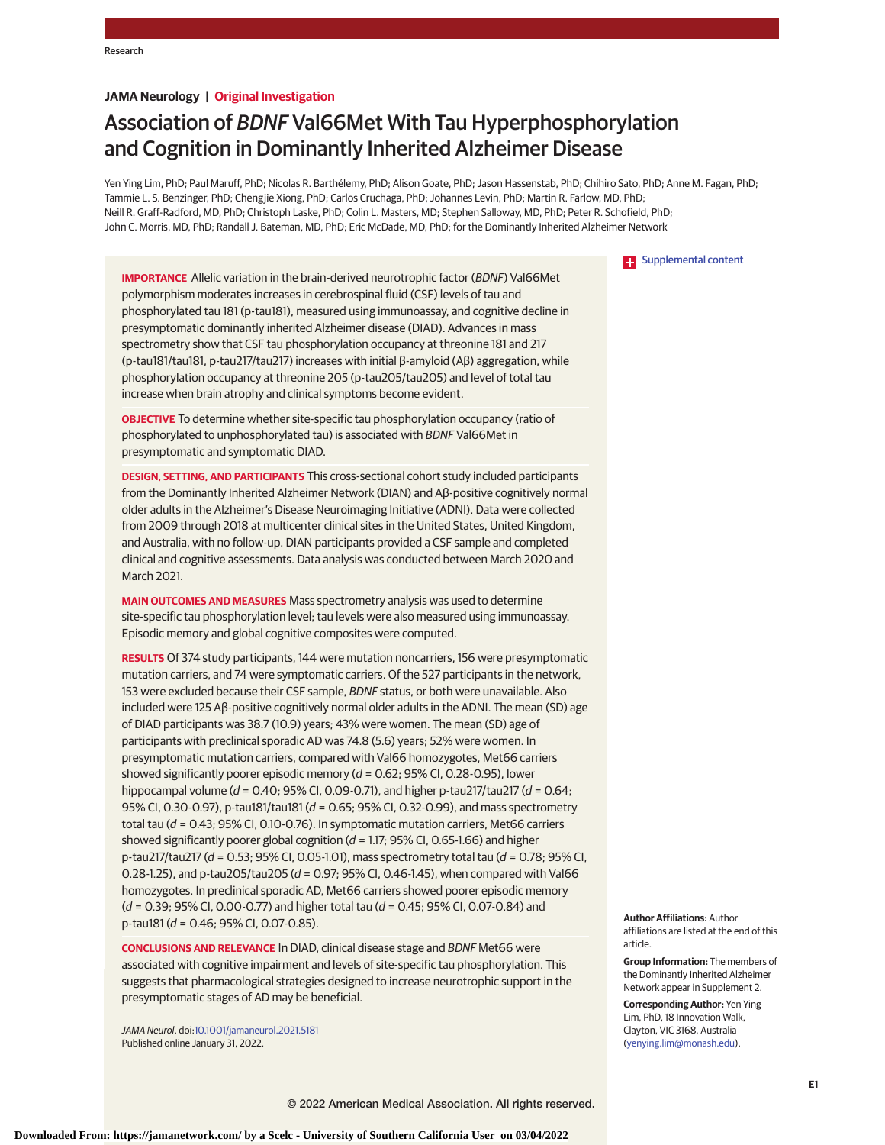# **JAMA Neurology | Original Investigation**

# Association of BDNF Val66Met With Tau Hyperphosphorylation and Cognition in Dominantly Inherited Alzheimer Disease

Yen Ying Lim, PhD; Paul Maruff, PhD; Nicolas R. Barthélemy, PhD; Alison Goate, PhD; Jason Hassenstab, PhD; Chihiro Sato, PhD; Anne M. Fagan, PhD; Tammie L. S. Benzinger, PhD; Chengjie Xiong, PhD; Carlos Cruchaga, PhD; Johannes Levin, PhD; Martin R. Farlow, MD, PhD; Neill R. Graff-Radford, MD, PhD; Christoph Laske, PhD; Colin L. Masters, MD; Stephen Salloway, MD, PhD; Peter R. Schofield, PhD; John C. Morris, MD, PhD; Randall J. Bateman, MD, PhD; Eric McDade, MD, PhD; for the Dominantly Inherited Alzheimer Network



**IMPORTANCE** Allelic variation in the brain-derived neurotrophic factor (BDNF) Val66Met polymorphism moderates increases in cerebrospinal fluid (CSF) levels of tau and phosphorylated tau 181 (p-tau181), measured using immunoassay, and cognitive decline in presymptomatic dominantly inherited Alzheimer disease (DIAD). Advances in mass spectrometry show that CSF tau phosphorylation occupancy at threonine 181 and 217 (p-tau181/tau181, p-tau217/tau217) increases with initial β-amyloid (Aβ) aggregation, while phosphorylation occupancy at threonine 205 (p-tau205/tau205) and level of total tau increase when brain atrophy and clinical symptoms become evident.

**OBJECTIVE** To determine whether site-specific tau phosphorylation occupancy (ratio of phosphorylated to unphosphorylated tau) is associated with BDNF Val66Met in presymptomatic and symptomatic DIAD.

**DESIGN, SETTING, AND PARTICIPANTS** This cross-sectional cohort study included participants from the Dominantly Inherited Alzheimer Network (DIAN) and Aβ-positive cognitively normal older adults in the Alzheimer's Disease Neuroimaging Initiative (ADNI). Data were collected from 2009 through 2018 at multicenter clinical sites in the United States, United Kingdom, and Australia, with no follow-up. DIAN participants provided a CSF sample and completed clinical and cognitive assessments. Data analysis was conducted between March 2020 and March 2021.

**MAIN OUTCOMES AND MEASURES** Mass spectrometry analysis was used to determine site-specific tau phosphorylation level; tau levels were also measured using immunoassay. Episodic memory and global cognitive composites were computed.

**RESULTS** Of 374 study participants, 144 were mutation noncarriers, 156 were presymptomatic mutation carriers, and 74 were symptomatic carriers. Of the 527 participants in the network, 153 were excluded because their CSF sample, BDNF status, or both were unavailable. Also included were 125 Aβ-positive cognitively normal older adults in the ADNI. The mean (SD) age of DIAD participants was 38.7 (10.9) years; 43% were women. The mean (SD) age of participants with preclinical sporadic AD was 74.8 (5.6) years; 52% were women. In presymptomatic mutation carriers, compared with Val66 homozygotes, Met66 carriers showed significantly poorer episodic memory ( $d = 0.62$ ; 95% CI, 0.28-0.95), lower hippocampal volume ( $d = 0.40$ ; 95% CI, 0.09-0.71), and higher p-tau217/tau217 ( $d = 0.64$ ; 95% CI, 0.30-0.97), p-tau181/tau181 (d = 0.65; 95% CI, 0.32-0.99), and mass spectrometry total tau ( $d = 0.43$ ; 95% CI, 0.10-0.76). In symptomatic mutation carriers, Met66 carriers showed significantly poorer global cognition ( $d = 1.17$ ; 95% CI, 0.65-1.66) and higher p-tau217/tau217 ( $d = 0.53$ ; 95% CI, 0.05-1.01), mass spectrometry total tau ( $d = 0.78$ ; 95% CI, 0.28-1.25), and p-tau205/tau205 ( $d = 0.97$ ; 95% CI, 0.46-1.45), when compared with Val66 homozygotes. In preclinical sporadic AD, Met66 carriers showed poorer episodic memory  $(d = 0.39; 95\%$  CI, 0.00-0.77) and higher total tau  $(d = 0.45; 95\%$  CI, 0.07-0.84) and p-tau181 (d = 0.46; 95% CI, 0.07-0.85).

**CONCLUSIONS AND RELEVANCE** In DIAD, clinical disease stage and BDNF Met66 were associated with cognitive impairment and levels of site-specific tau phosphorylation. This suggests that pharmacological strategies designed to increase neurotrophic support in the presymptomatic stages of AD may be beneficial.

JAMA Neurol. doi[:10.1001/jamaneurol.2021.5181](https://jamanetwork.com/journals/jama/fullarticle/10.1001/jamaneurol.2021.5181?utm_campaign=articlePDF%26utm_medium=articlePDFlink%26utm_source=articlePDF%26utm_content=jamaneurol.2021.5181) Published online January 31, 2022.

**Author Affiliations:** Author affiliations are listed at the end of this article.

**Group Information:** The members of the Dominantly Inherited Alzheimer Network appear in Supplement 2.

**Corresponding Author:** Yen Ying Lim, PhD, 18 Innovation Walk, Clayton, VIC 3168, Australia [\(yenying.lim@monash.edu\)](mailto:yenying.lim@monash.edu).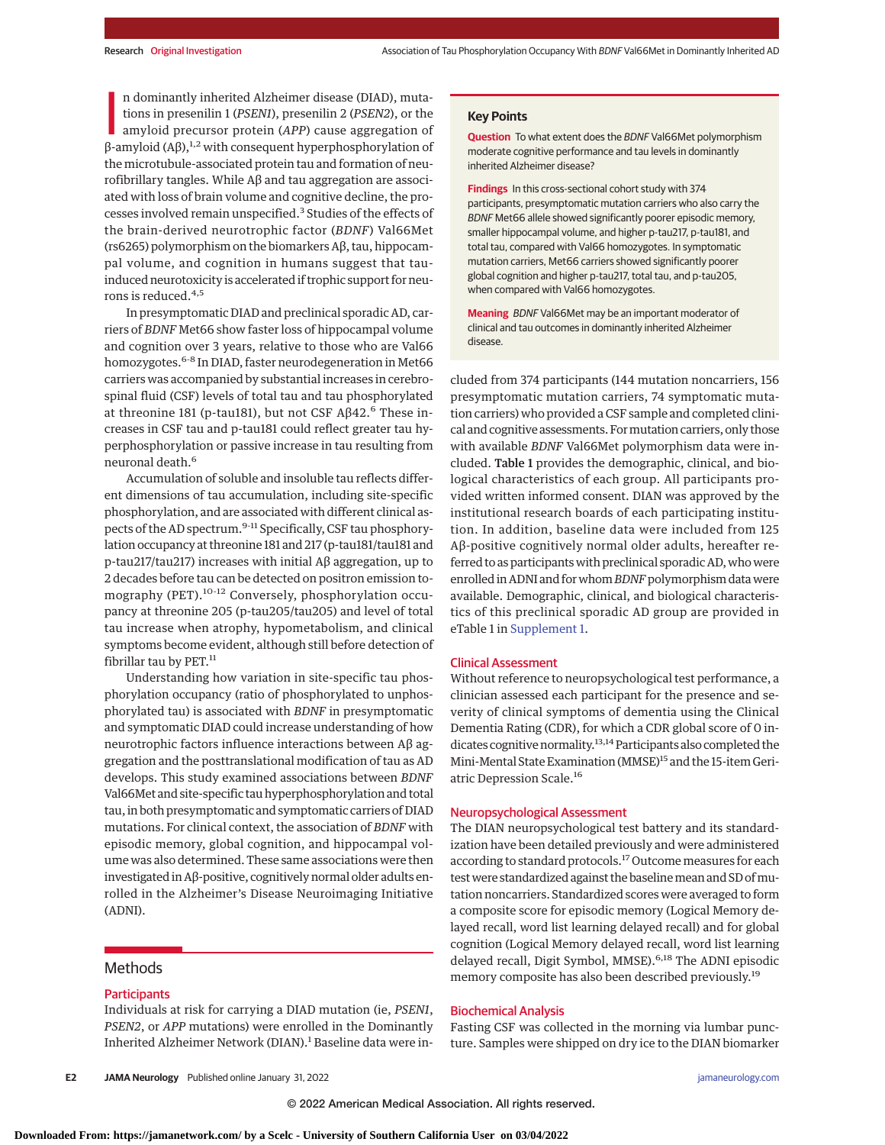n dominantly inherited Alzheimer disease (DIAD), mutations in presenilin 1 (*PSEN1*), presenilin 2 (*PSEN2*), or the amyloid precursor protein (*APP*) cause aggregation of β-amyloid (*Aβ*),<sup>1,2</sup> with consequent hyperphos n dominantly inherited Alzheimer disease (DIAD), mutations in presenilin 1 (*PSEN1*), presenilin 2 (*PSEN2*), or the amyloid precursor protein (*APP*) cause aggregation of the microtubule-associated protein tau and formation of neurofibrillary tangles. While Aβ and tau aggregation are associated with loss of brain volume and cognitive decline, the processes involved remain unspecified.<sup>3</sup> Studies of the effects of the brain-derived neurotrophic factor (*BDNF*) Val66Met (rs6265) polymorphism on the biomarkers Aβ, tau, hippocampal volume, and cognition in humans suggest that tauinduced neurotoxicity is accelerated if trophic support for neurons is reduced.4,5

In presymptomatic DIAD and preclinical sporadic AD, carriers of *BDNF* Met66 show faster loss of hippocampal volume and cognition over 3 years, relative to those who are Val66 homozygotes.<sup>6-8</sup> In DIAD, faster neurodegeneration in Met66 carriers was accompanied by substantial increases in cerebrospinal fluid (CSF) levels of total tau and tau phosphorylated at threonine 181 (p-tau181), but not CSF Aβ42.<sup>6</sup> These increases in CSF tau and p-tau181 could reflect greater tau hyperphosphorylation or passive increase in tau resulting from neuronal death.<sup>6</sup>

Accumulation of soluble and insoluble tau reflects different dimensions of tau accumulation, including site-specific phosphorylation, and are associated with different clinical aspects of the AD spectrum.<sup>9-11</sup> Specifically, CSF tau phosphorylation occupancy at threonine 181 and 217 (p-tau181/tau181 and p-tau217/tau217) increases with initial Aβ aggregation, up to 2 decades before tau can be detected on positron emission tomography (PET).10-12 Conversely, phosphorylation occupancy at threonine 205 (p-tau205/tau205) and level of total tau increase when atrophy, hypometabolism, and clinical symptoms become evident, although still before detection of fibrillar tau by PET.<sup>11</sup>

Understanding how variation in site-specific tau phosphorylation occupancy (ratio of phosphorylated to unphosphorylated tau) is associated with *BDNF* in presymptomatic and symptomatic DIAD could increase understanding of how neurotrophic factors influence interactions between Aβ aggregation and the posttranslational modification of tau as AD develops. This study examined associations between *BDNF* Val66Met and site-specific tau hyperphosphorylation and total tau, in both presymptomatic and symptomatic carriers of DIAD mutations. For clinical context, the association of *BDNF* with episodic memory, global cognition, and hippocampal volume was also determined. These same associations were then investigated in Aβ-positive, cognitively normal older adults enrolled in the Alzheimer's Disease Neuroimaging Initiative (ADNI).

# Methods

### **Participants**

Individuals at risk for carrying a DIAD mutation (ie, *PSEN1*, *PSEN2*, or *APP* mutations) were enrolled in the Dominantly Inherited Alzheimer Network (DIAN).<sup>1</sup> Baseline data were in-

#### **Key Points**

**Question** To what extent does the BDNF Val66Met polymorphism moderate cognitive performance and tau levels in dominantly inherited Alzheimer disease?

**Findings** In this cross-sectional cohort study with 374 participants, presymptomatic mutation carriers who also carry the BDNF Met66 allele showed significantly poorer episodic memory, smaller hippocampal volume, and higher p-tau217, p-tau181, and total tau, compared with Val66 homozygotes. In symptomatic mutation carriers, Met66 carriers showed significantly poorer global cognition and higher p-tau217, total tau, and p-tau205, when compared with Val66 homozygotes.

**Meaning** BDNF Val66Met may be an important moderator of clinical and tau outcomes in dominantly inherited Alzheimer disease.

cluded from 374 participants (144 mutation noncarriers, 156 presymptomatic mutation carriers, 74 symptomatic mutation carriers) who provided a CSF sample and completed clinical and cognitive assessments. Formutation carriers, only those with available *BDNF* Val66Met polymorphism data were included. Table 1 provides the demographic, clinical, and biological characteristics of each group. All participants provided written informed consent. DIAN was approved by the institutional research boards of each participating institution. In addition, baseline data were included from 125 Aβ-positive cognitively normal older adults, hereafter referred to as participants with preclinical sporadic AD, who were enrolled in ADNI and for whom *BDNF* polymorphism data were available. Demographic, clinical, and biological characteristics of this preclinical sporadic AD group are provided in eTable 1 in [Supplement 1.](https://jamanetwork.com/journals/jama/fullarticle/10.1001/jamaneurol.2021.5181?utm_campaign=articlePDF%26utm_medium=articlePDFlink%26utm_source=articlePDF%26utm_content=jamaneurol.2021.5181)

#### Clinical Assessment

Without reference to neuropsychological test performance, a clinician assessed each participant for the presence and severity of clinical symptoms of dementia using the Clinical Dementia Rating (CDR), for which a CDR global score of 0 indicates cognitive normality.13,14 Participants also completed the Mini-Mental State Examination (MMSE)<sup>15</sup> and the 15-item Geriatric Depression Scale.<sup>16</sup>

### Neuropsychological Assessment

The DIAN neuropsychological test battery and its standardization have been detailed previously and were administered according to standard protocols.<sup>17</sup> Outcome measures for each test were standardized against the baseline mean and SD of mutation noncarriers. Standardized scores were averaged to form a composite score for episodic memory (Logical Memory delayed recall, word list learning delayed recall) and for global cognition (Logical Memory delayed recall, word list learning delayed recall, Digit Symbol, MMSE).<sup>6,18</sup> The ADNI episodic memory composite has also been described previously.<sup>19</sup>

#### Biochemical Analysis

Fasting CSF was collected in the morning via lumbar puncture. Samples were shipped on dry ice to the DIAN biomarker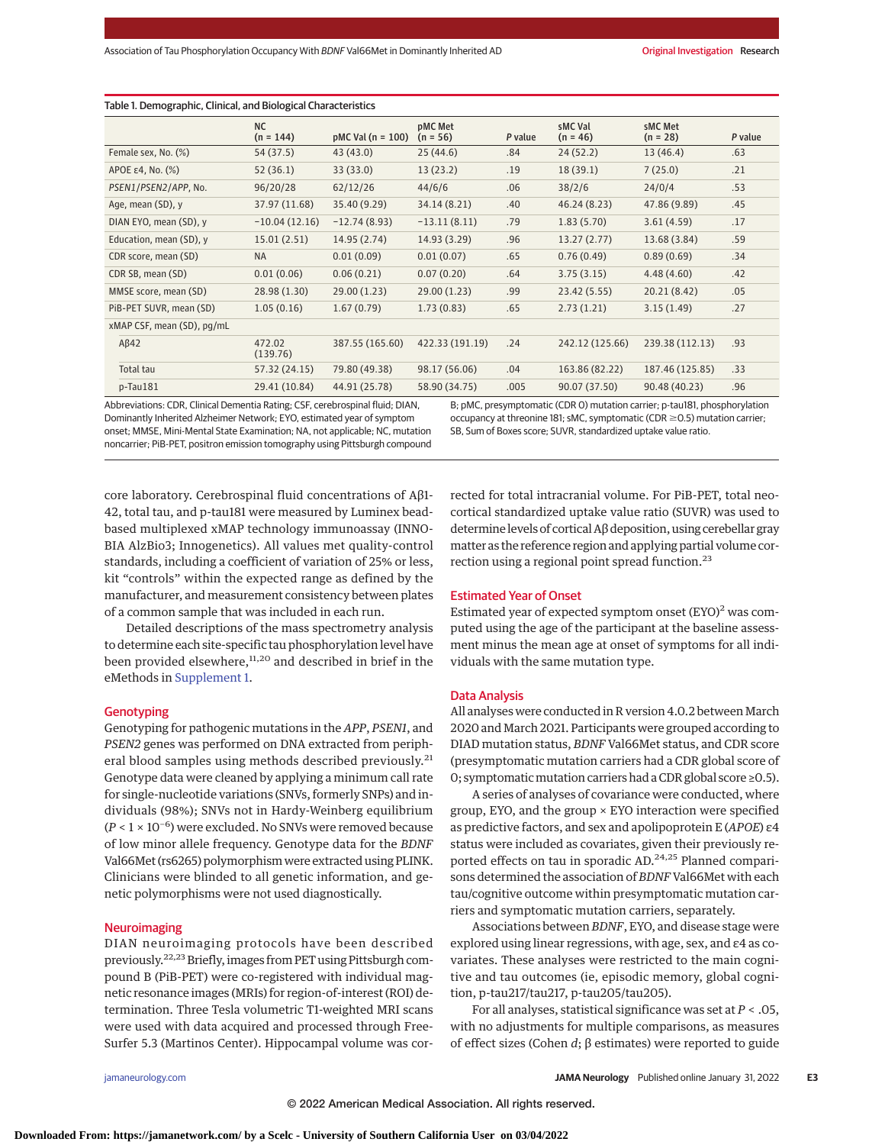|                                  | <b>NC</b><br>$(n = 144)$ | $pMC$ Val ( $n = 100$ ) | pMC Met<br>$(n = 56)$ | P value | sMC Val<br>$(n = 46)$ | sMC Met<br>$(n = 28)$ | P value |
|----------------------------------|--------------------------|-------------------------|-----------------------|---------|-----------------------|-----------------------|---------|
| Female sex, No. (%)              | 54 (37.5)                | 43(43.0)                | 25(44.6)              | .84     | 24(52.2)              | 13(46.4)              | .63     |
| APOE $\varepsilon$ 4, No. $(\%)$ | 52(36.1)                 | 33 (33.0)               | 13(23.2)              | .19     | 18(39.1)              | 7(25.0)               | .21     |
| PSEN1/PSEN2/APP, No.             | 96/20/28                 | 62/12/26                | 44/6/6                | .06     | 38/2/6                | 24/0/4                | .53     |
| Age, mean (SD), y                | 37.97 (11.68)            | 35.40 (9.29)            | 34.14 (8.21)          | .40     | 46.24 (8.23)          | 47.86 (9.89)          | .45     |
| DIAN EYO, mean (SD), y           | $-10.04(12.16)$          | $-12.74(8.93)$          | $-13.11(8.11)$        | .79     | 1.83(5.70)            | 3.61(4.59)            | .17     |
| Education, mean (SD), y          | 15.01(2.51)              | 14.95 (2.74)            | 14.93 (3.29)          | .96     | 13.27(2.77)           | 13.68 (3.84)          | .59     |
| CDR score, mean (SD)             | <b>NA</b>                | 0.01(0.09)              | 0.01(0.07)            | .65     | 0.76(0.49)            | 0.89(0.69)            | .34     |
| CDR SB, mean (SD)                | 0.01(0.06)               | 0.06(0.21)              | 0.07(0.20)            | .64     | 3.75(3.15)            | 4.48(4.60)            | .42     |
| MMSE score, mean (SD)            | 28.98 (1.30)             | 29.00(1.23)             | 29.00 (1.23)          | .99     | 23.42 (5.55)          | 20.21 (8.42)          | .05     |
| PiB-PET SUVR, mean (SD)          | 1.05(0.16)               | 1.67(0.79)              | 1.73(0.83)            | .65     | 2.73(1.21)            | 3.15(1.49)            | .27     |
| xMAP CSF, mean (SD), pg/mL       |                          |                         |                       |         |                       |                       |         |
| $A\beta42$                       | 472.02<br>(139.76)       | 387.55 (165.60)         | 422.33 (191.19)       | .24     | 242.12 (125.66)       | 239.38 (112.13)       | .93     |
| Total tau                        | 57.32 (24.15)            | 79.80 (49.38)           | 98.17 (56.06)         | .04     | 163.86 (82.22)        | 187.46 (125.85)       | .33     |
| $p$ -Tau $181$                   | 29.41 (10.84)            | 44.91 (25.78)           | 58.90 (34.75)         | .005    | 90.07 (37.50)         | 90.48 (40.23)         | .96     |

Abbreviations: CDR, Clinical Dementia Rating; CSF, cerebrospinal fluid; DIAN, Dominantly Inherited Alzheimer Network; EYO, estimated year of symptom onset; MMSE, Mini-Mental State Examination; NA, not applicable; NC, mutation noncarrier; PiB-PET, positron emission tomography using Pittsburgh compound

B; pMC, presymptomatic (CDR 0) mutation carrier; p-tau181, phosphorylation occupancy at threonine 181; sMC, symptomatic (CDR  $\geq$  0.5) mutation carrier; SB, Sum of Boxes score; SUVR, standardized uptake value ratio.

core laboratory. Cerebrospinal fluid concentrations of Aβ1- 42, total tau, and p-tau181 were measured by Luminex beadbased multiplexed xMAP technology immunoassay (INNO-BIA AlzBio3; Innogenetics). All values met quality-control standards, including a coefficient of variation of 25% or less, kit "controls" within the expected range as defined by the manufacturer, and measurement consistency between plates of a common sample that was included in each run.

Detailed descriptions of the mass spectrometry analysis to determine each site-specific tau phosphorylation level have been provided elsewhere,<sup>11,20</sup> and described in brief in the eMethods in [Supplement 1.](https://jamanetwork.com/journals/jama/fullarticle/10.1001/jamaneurol.2021.5181?utm_campaign=articlePDF%26utm_medium=articlePDFlink%26utm_source=articlePDF%26utm_content=jamaneurol.2021.5181)

## **Genotyping**

Genotyping for pathogenic mutations in the *APP*, *PSEN1*, and *PSEN2* genes was performed on DNA extracted from peripheral blood samples using methods described previously.<sup>21</sup> Genotype data were cleaned by applying a minimum call rate for single-nucleotide variations (SNVs, formerly SNPs) and individuals (98%); SNVs not in Hardy-Weinberg equilibrium (*P* < 1 × 10−6) were excluded. No SNVs were removed because of low minor allele frequency. Genotype data for the *BDNF* Val66Met (rs6265) polymorphism were extracted using PLINK. Clinicians were blinded to all genetic information, and genetic polymorphisms were not used diagnostically.

# Neuroimaging

DIAN neuroimaging protocols have been described previously.<sup>22,23</sup> Briefly, images from PET using Pittsburgh compound B (PiB-PET) were co-registered with individual magnetic resonance images (MRIs) for region-of-interest (ROI) determination. Three Tesla volumetric T1-weighted MRI scans were used with data acquired and processed through Free-Surfer 5.3 (Martinos Center). Hippocampal volume was corrected for total intracranial volume. For PiB-PET, total neocortical standardized uptake value ratio (SUVR) was used to determine levels of cortical Aβ deposition, using cerebellar gray matter as the reference region and applying partial volume correction using a regional point spread function.<sup>23</sup>

# Estimated Year of Onset

Estimated year of expected symptom onset (EYO)<sup>2</sup> was computed using the age of the participant at the baseline assessment minus the mean age at onset of symptoms for all individuals with the same mutation type.

#### Data Analysis

All analyses were conducted in R version 4.0.2 between March 2020 and March 2021. Participants were grouped according to DIAD mutation status, *BDNF* Val66Met status, and CDR score (presymptomatic mutation carriers had a CDR global score of 0; symptomaticmutation carriers had a CDR global score ≥0.5).

A series of analyses of covariance were conducted, where group, EYO, and the group × EYO interaction were specified as predictive factors, and sex and apolipoprotein E (*APOE*) ε4 status were included as covariates, given their previously reported effects on tau in sporadic AD.<sup>24,25</sup> Planned comparisons determined the association of *BDNF* Val66Met with each tau/cognitive outcome within presymptomatic mutation carriers and symptomatic mutation carriers, separately.

Associations between *BDNF*, EYO, and disease stage were explored using linear regressions, with age, sex, and ε4 as covariates. These analyses were restricted to the main cognitive and tau outcomes (ie, episodic memory, global cognition, p-tau217/tau217, p-tau205/tau205).

For all analyses, statistical significance was set at *P* < .05, with no adjustments for multiple comparisons, as measures of effect sizes (Cohen *d*; β estimates) were reported to guide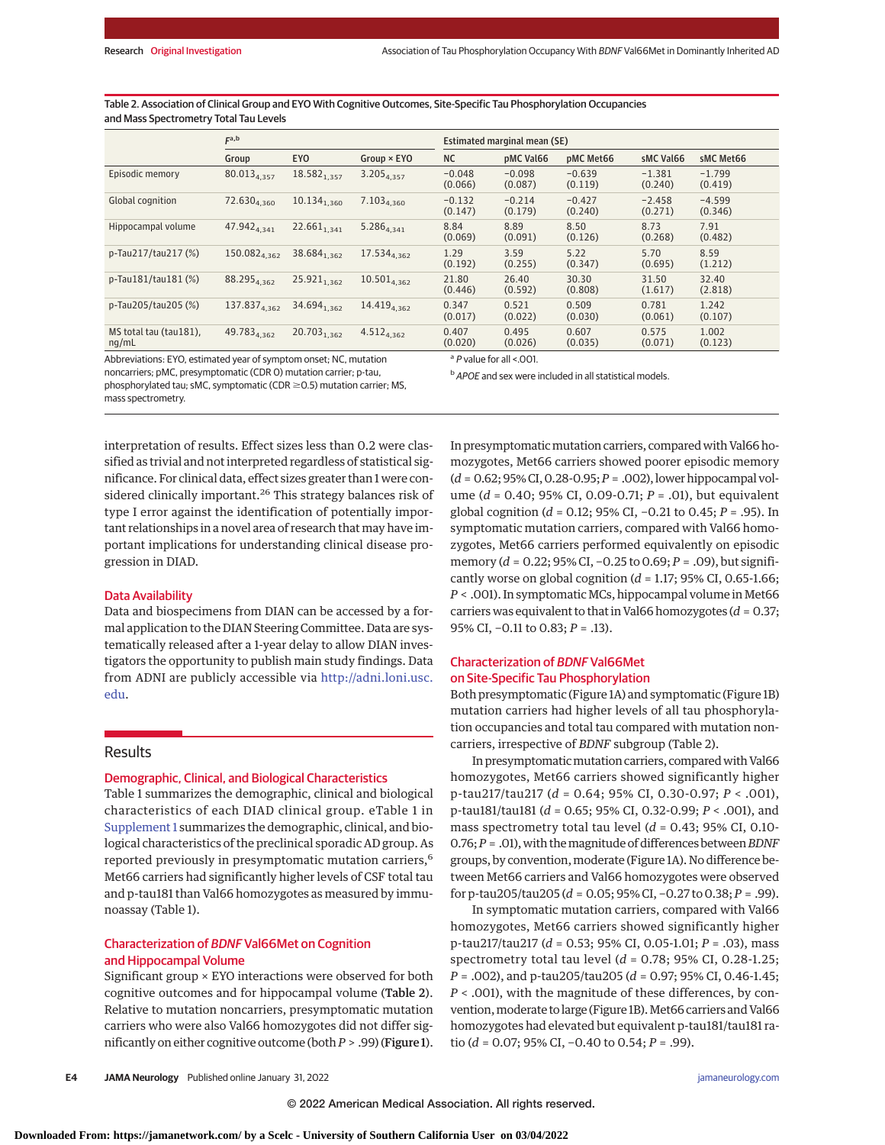Table 2. Association of Clinical Group and EYO With Cognitive Outcomes, Site-Specific Tau Phosphorylation Occupancies and Mass Spectrometry Total Tau Levels

|                                 | F <sup>a,b</sup>         |                         |                         | Estimated marginal mean (SE) |                     |                     |                     |                     |  |  |
|---------------------------------|--------------------------|-------------------------|-------------------------|------------------------------|---------------------|---------------------|---------------------|---------------------|--|--|
|                                 | Group                    | <b>EYO</b>              | $Group \times EYO$      | <b>NC</b>                    | pMC Val66           | pMC Met66           | sMC Val66           | sMC Met66           |  |  |
| Episodic memory                 | 80.013 <sub>4,357</sub>  | $18.582_{1,357}$        | 3.205 <sub>4,357</sub>  | $-0.048$<br>(0.066)          | $-0.098$<br>(0.087) | $-0.639$<br>(0.119) | $-1.381$<br>(0.240) | $-1.799$<br>(0.419) |  |  |
| Global cognition                | $72.630_{4.360}$         | $10.134_{1,360}$        | $7.103_{4,360}$         | $-0.132$<br>(0.147)          | $-0.214$<br>(0.179) | $-0.427$<br>(0.240) | $-2.458$<br>(0.271) | $-4.599$<br>(0.346) |  |  |
| Hippocampal volume              | 47.942 <sub>4.341</sub>  | $22.661_{1,341}$        | $5.286_{4,341}$         | 8.84<br>(0.069)              | 8.89<br>(0.091)     | 8.50<br>(0.126)     | 8.73<br>(0.268)     | 7.91<br>(0.482)     |  |  |
| p-Tau217/tau217 (%)             | 150.082 <sub>4,362</sub> | 38.684 <sub>1,362</sub> | 17.534 <sub>4,362</sub> | 1.29<br>(0.192)              | 3.59<br>(0.255)     | 5.22<br>(0.347)     | 5.70<br>(0.695)     | 8.59<br>(1.212)     |  |  |
| p-Tau181/tau181 (%)             | 88.295 <sub>4,362</sub>  | $25.921_{1,362}$        | $10.501_{4,362}$        | 21.80<br>(0.446)             | 26.40<br>(0.592)    | 30.30<br>(0.808)    | 31.50<br>(1.617)    | 32.40<br>(2.818)    |  |  |
| p-Tau205/tau205 (%)             | 137.837 <sub>4,362</sub> | 34.694 <sub>1,362</sub> | 14.419 <sub>4,362</sub> | 0.347<br>(0.017)             | 0.521<br>(0.022)    | 0.509<br>(0.030)    | 0.781<br>(0.061)    | 1.242<br>(0.107)    |  |  |
| MS total tau (tau181),<br>nq/mL | 49.783 <sub>4,362</sub>  | $20.703_{1,362}$        | $4.512_{4,362}$         | 0.407<br>(0.020)             | 0.495<br>(0.026)    | 0.607<br>(0.035)    | 0.575<br>(0.071)    | 1.002<br>(0.123)    |  |  |

Abbreviations: EYO, estimated year of symptom onset; NC, mutation

noncarriers; pMC, presymptomatic (CDR 0) mutation carrier; p-tau, phosphorylated tau; sMC, symptomatic (CDR ≥0.5) mutation carrier; MS, <sup>a</sup> P value for all <.001.

**b** APOE and sex were included in all statistical models.

mass spectrometry.

interpretation of results. Effect sizes less than 0.2 were classified as trivial and not interpreted regardless of statistical significance. For clinical data, effect sizes greater than 1 were considered clinically important.<sup>26</sup> This strategy balances risk of type I error against the identification of potentially important relationships in a novel area of research that may have important implications for understanding clinical disease progression in DIAD.

# Data Availability

Data and biospecimens from DIAN can be accessed by a formal application to the DIAN Steering Committee. Data are systematically released after a 1-year delay to allow DIAN investigators the opportunity to publish main study findings. Data from ADNI are publicly accessible via [http://adni.loni.usc.](http://adni.loni.usc.edu) [edu.](http://adni.loni.usc.edu)

# Results

# Demographic, Clinical, and Biological Characteristics

Table 1 summarizes the demographic, clinical and biological characteristics of each DIAD clinical group. eTable 1 in [Supplement 1](https://jamanetwork.com/journals/jama/fullarticle/10.1001/jamaneurol.2021.5181?utm_campaign=articlePDF%26utm_medium=articlePDFlink%26utm_source=articlePDF%26utm_content=jamaneurol.2021.5181) summarizes the demographic, clinical, and biological characteristics of the preclinical sporadic AD group. As reported previously in presymptomatic mutation carriers,<sup>6</sup> Met66 carriers had significantly higher levels of CSF total tau and p-tau181 than Val66 homozygotes as measured by immunoassay (Table 1).

# Characterization of BDNF Val66Met on Cognition and Hippocampal Volume

Significant group × EYO interactions were observed for both cognitive outcomes and for hippocampal volume (Table 2). Relative to mutation noncarriers, presymptomatic mutation carriers who were also Val66 homozygotes did not differ significantly on either cognitive outcome (both*P* > .99) (Figure 1).

In presymptomatic mutation carriers, compared with Val66 homozygotes, Met66 carriers showed poorer episodic memory (*d* = 0.62; 95% CI, 0.28-0.95;*P* = .002), lower hippocampal volume (*d* = 0.40; 95% CI, 0.09-0.71; *P* = .01), but equivalent global cognition (*d* = 0.12; 95% CI, −0.21 to 0.45; *P* = .95). In symptomatic mutation carriers, compared with Val66 homozygotes, Met66 carriers performed equivalently on episodic memory (*d* = 0.22; 95% CI, −0.25 to 0.69; *P* = .09), but significantly worse on global cognition (*d* = 1.17; 95% CI, 0.65-1.66; *P* < .001). In symptomaticMCs, hippocampal volume inMet66 carriers was equivalent to that in Val66 homozygotes (*d* = 0.37; 95% CI, −0.11 to 0.83; *P* = .13).

# Characterization of BDNF Val66Met on Site-Specific Tau Phosphorylation

Both presymptomatic (Figure 1A) and symptomatic (Figure 1B) mutation carriers had higher levels of all tau phosphorylation occupancies and total tau compared with mutation noncarriers, irrespective of *BDNF* subgroup (Table 2).

In presymptomatic mutation carriers, compared with Val66 homozygotes, Met66 carriers showed significantly higher p-tau217/tau217 (*d* = 0.64; 95% CI, 0.30-0.97; *P* < .001), p-tau181/tau181 (*d* = 0.65; 95% CI, 0.32-0.99; *P* < .001), and mass spectrometry total tau level (*d* = 0.43; 95% CI, 0.10- 0.76;*P* = .01),with themagnitude of differences between*BDNF* groups, by convention,moderate (Figure 1A). No difference between Met66 carriers and Val66 homozygotes were observed for p-tau205/tau205 (*d* = 0.05; 95% CI, −0.27 to 0.38; *P* = .99).

In symptomatic mutation carriers, compared with Val66 homozygotes, Met66 carriers showed significantly higher p-tau217/tau217 (*d* = 0.53; 95% CI, 0.05-1.01; *P* = .03), mass spectrometry total tau level (*d* = 0.78; 95% CI, 0.28-1.25; *P* = .002), and p-tau205/tau205 (*d* = 0.97; 95% CI, 0.46-1.45; *P* < .001), with the magnitude of these differences, by convention, moderate to large (Figure 1B). Met66 carriers and Val66 homozygotes had elevated but equivalent p-tau181/tau181 ratio (*d* = 0.07; 95% CI, −0.40 to 0.54; *P* = .99).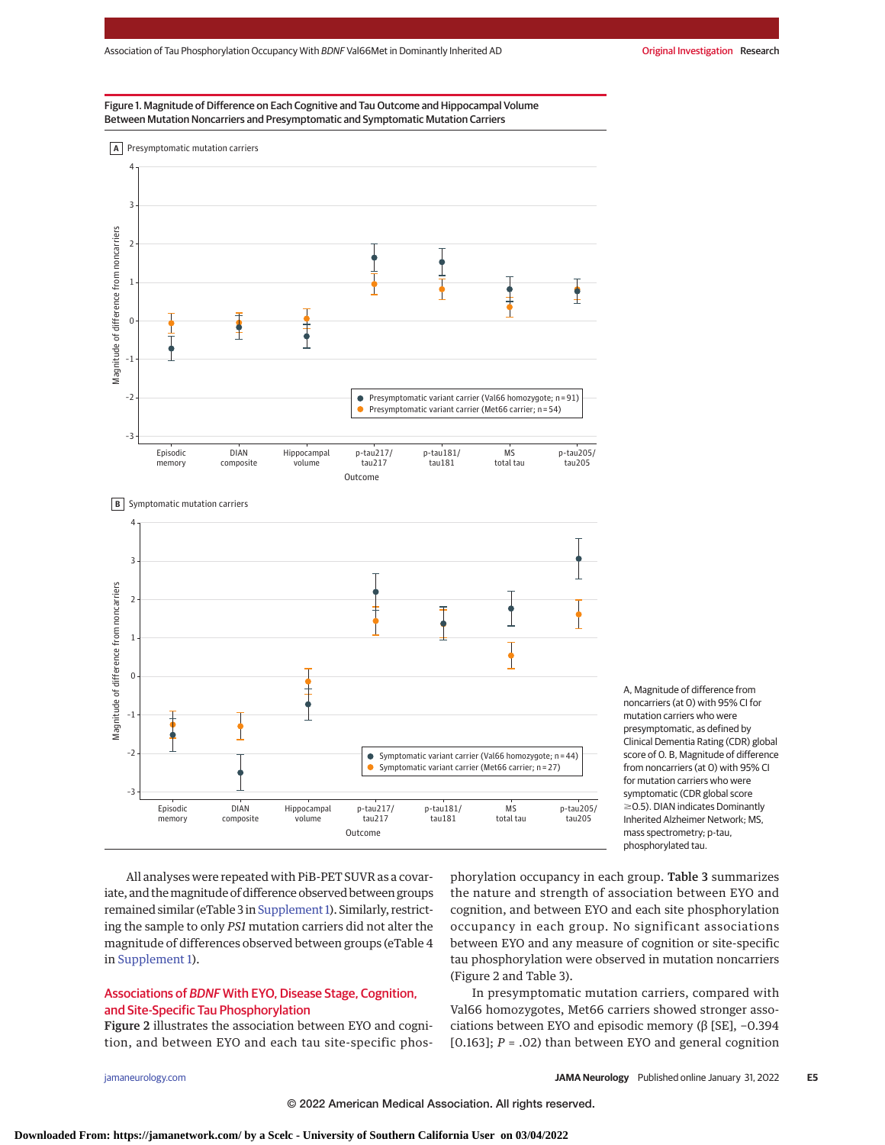



A, Magnitude of difference from noncarriers (at 0) with 95% CI for mutation carriers who were presymptomatic, as defined by Clinical Dementia Rating (CDR) global score of 0. B, Magnitude of difference from noncarriers (at 0) with 95% CI for mutation carriers who were symptomatic (CDR global score  $\geq$ 0.5). DIAN indicates Dominantly Inherited Alzheimer Network; MS, mass spectrometry; p-tau, phosphorylated tau.

All analyses were repeated with PiB-PET SUVR as a covariate, and themagnitude of difference observed between groups remained similar (eTable 3 in Supplement 1). Similarly, restricting the sample to only *PS1* mutation carriers did not alter the magnitude of differences observed between groups (eTable 4 in [Supplement 1\)](https://jamanetwork.com/journals/jama/fullarticle/10.1001/jamaneurol.2021.5181?utm_campaign=articlePDF%26utm_medium=articlePDFlink%26utm_source=articlePDF%26utm_content=jamaneurol.2021.5181).

# Associations of BDNF With EYO, Disease Stage, Cognition, and Site-Specific Tau Phosphorylation

Figure 2 illustrates the association between EYO and cognition, and between EYO and each tau site-specific phos-

phorylation occupancy in each group. Table 3 summarizes the nature and strength of association between EYO and cognition, and between EYO and each site phosphorylation occupancy in each group. No significant associations between EYO and any measure of cognition or site-specific tau phosphorylation were observed in mutation noncarriers (Figure 2 and Table 3).

In presymptomatic mutation carriers, compared with Val66 homozygotes, Met66 carriers showed stronger associations between EYO and episodic memory (β [SE], −0.394 [0.163]; *P* = .02) than between EYO and general cognition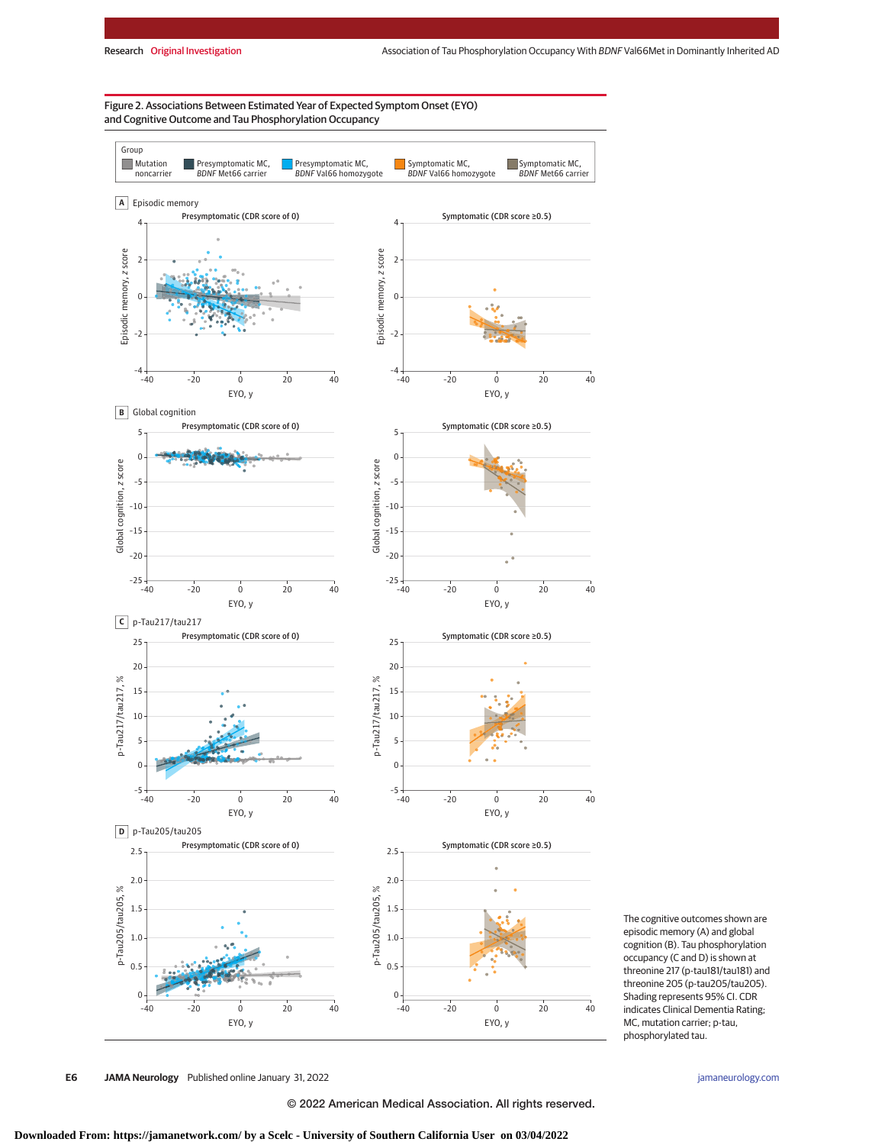Figure 2. Associations Between Estimated Year of Expected Symptom Onset (EYO) and Cognitive Outcome and Tau Phosphorylation Occupancy



The cognitive outcomes shown are episodic memory (A) and global cognition (B). Tau phosphorylation occupancy (C and D) is shown at threonine 217 (p-tau181/tau181) and threonine 205 (p-tau205/tau205). Shading represents 95% CI. CDR indicates Clinical Dementia Rating; MC, mutation carrier; p-tau, phosphorylated tau.

**E6 JAMA Neurology** Published online January 31, 2022 **(Reprinted)** [jamaneurology.com](http://www.jamaneurology.com?utm_campaign=articlePDF%26utm_medium=articlePDFlink%26utm_source=articlePDF%26utm_content=jamaneurol.2021.5181)

© 2022 American Medical Association. All rights reserved.

**Downloaded From: https://jamanetwork.com/ by a Scelc - University of Southern California User on 03/04/2022**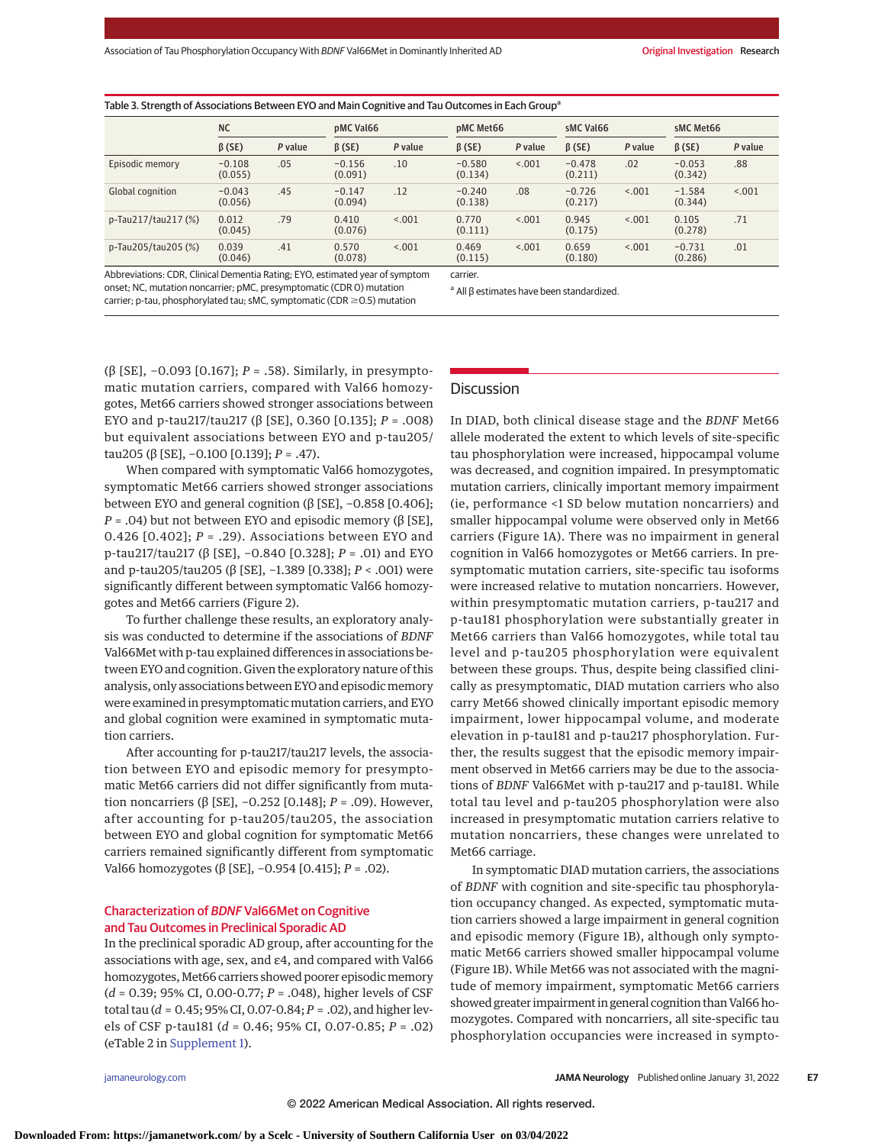| Table 3. Strength of Associations Between EYO and Main Cognitive and Tau Outcomes in Each Group <sup>a</sup> |                     |         |                     |         |                     |         |                     |         |                     |         |
|--------------------------------------------------------------------------------------------------------------|---------------------|---------|---------------------|---------|---------------------|---------|---------------------|---------|---------------------|---------|
|                                                                                                              | <b>NC</b>           |         | pMC Val66           |         | pMC Met66           |         | sMC Val66           |         | sMC Met66           |         |
|                                                                                                              | $\beta$ (SE)        | P value | $\beta$ (SE)        | P value | $\beta$ (SE)        | P value | $\beta$ (SE)        | P value | $\beta$ (SE)        | P value |
| Episodic memory                                                                                              | $-0.108$<br>(0.055) | .05     | $-0.156$<br>(0.091) | .10     | $-0.580$<br>(0.134) | < 0.01  | $-0.478$<br>(0.211) | .02     | $-0.053$<br>(0.342) | .88     |
| Global cognition                                                                                             | $-0.043$<br>(0.056) | .45     | $-0.147$<br>(0.094) | .12     | $-0.240$<br>(0.138) | .08     | $-0.726$<br>(0.217) | < 0.01  | $-1.584$<br>(0.344) | < .001  |
| p-Tau217/tau217 (%)                                                                                          | 0.012<br>(0.045)    | .79     | 0.410<br>(0.076)    | < 0.01  | 0.770<br>(0.111)    | < 0.01  | 0.945<br>(0.175)    | < 0.001 | 0.105<br>(0.278)    | .71     |
| p-Tau205/tau205 (%)                                                                                          | 0.039<br>(0.046)    | .41     | 0.570<br>(0.078)    | < 0.01  | 0.469<br>(0.115)    | < 0.01  | 0.659<br>(0.180)    | < .001  | $-0.731$<br>(0.286) | .01     |

carrier.

Abbreviations: CDR, Clinical Dementia Rating; EYO, estimated year of symptom onset; NC, mutation noncarrier; pMC, presymptomatic (CDR 0) mutation carrier; p-tau, phosphorylated tau; sMC, symptomatic (CDR  $\geq$  0.5) mutation

<sup>a</sup> All β estimates have been standardized.

(β [SE], −0.093 [0.167]; *P* = .58). Similarly, in presymptomatic mutation carriers, compared with Val66 homozygotes, Met66 carriers showed stronger associations between EYO and p-tau217/tau217 (β [SE], 0.360 [0.135]; *P* = .008) but equivalent associations between EYO and p-tau205/ tau205 (β [SE], −0.100 [0.139]; *P* = .47).

When compared with symptomatic Val66 homozygotes, symptomatic Met66 carriers showed stronger associations between EYO and general cognition (β [SE], −0.858 [0.406]; *P* = .04) but not between EYO and episodic memory (β [SE], 0.426 [0.402]; *P* = .29). Associations between EYO and p-tau217/tau217 (β [SE], −0.840 [0.328]; *P* = .01) and EYO and p-tau205/tau205 (β [SE], −1.389 [0.338]; *P* < .001) were significantly different between symptomatic Val66 homozygotes and Met66 carriers (Figure 2).

To further challenge these results, an exploratory analysis was conducted to determine if the associations of *BDNF* Val66Met with p-tau explained differences in associations between EYO and cognition. Given the exploratory nature of this analysis, only associations between EYO and episodicmemory were examined in presymptomatic mutation carriers, and EYO and global cognition were examined in symptomatic mutation carriers.

After accounting for p-tau217/tau217 levels, the association between EYO and episodic memory for presymptomatic Met66 carriers did not differ significantly from mutation noncarriers (β [SE], −0.252 [0.148]; *P* = .09). However, after accounting for p-tau205/tau205, the association between EYO and global cognition for symptomatic Met66 carriers remained significantly different from symptomatic Val66 homozygotes (β [SE], −0.954 [0.415]; *P* = .02).

# Characterization of BDNF Val66Met on Cognitive and Tau Outcomes in Preclinical Sporadic AD

In the preclinical sporadic AD group, after accounting for the associations with age, sex, and ε4, and compared with Val66 homozygotes, Met66 carriers showed poorer episodic memory (*d* = 0.39; 95% CI, 0.00-0.77; *P* = .048), higher levels of CSF total tau (*d* = 0.45; 95% CI, 0.07-0.84; *P* = .02), and higher levels of CSF p-tau181 (*d* = 0.46; 95% CI, 0.07-0.85; *P* = .02) (eTable 2 in [Supplement 1\)](https://jamanetwork.com/journals/jama/fullarticle/10.1001/jamaneurol.2021.5181?utm_campaign=articlePDF%26utm_medium=articlePDFlink%26utm_source=articlePDF%26utm_content=jamaneurol.2021.5181).

Discussion

In DIAD, both clinical disease stage and the *BDNF* Met66 allele moderated the extent to which levels of site-specific tau phosphorylation were increased, hippocampal volume was decreased, and cognition impaired. In presymptomatic mutation carriers, clinically important memory impairment (ie, performance <1 SD below mutation noncarriers) and smaller hippocampal volume were observed only in Met66 carriers (Figure 1A). There was no impairment in general cognition in Val66 homozygotes or Met66 carriers. In presymptomatic mutation carriers, site-specific tau isoforms were increased relative to mutation noncarriers. However, within presymptomatic mutation carriers, p-tau217 and p-tau181 phosphorylation were substantially greater in Met66 carriers than Val66 homozygotes, while total tau level and p-tau205 phosphorylation were equivalent between these groups. Thus, despite being classified clinically as presymptomatic, DIAD mutation carriers who also carry Met66 showed clinically important episodic memory impairment, lower hippocampal volume, and moderate elevation in p-tau181 and p-tau217 phosphorylation. Further, the results suggest that the episodic memory impairment observed in Met66 carriers may be due to the associations of *BDNF* Val66Met with p-tau217 and p-tau181. While total tau level and p-tau205 phosphorylation were also increased in presymptomatic mutation carriers relative to mutation noncarriers, these changes were unrelated to Met66 carriage.

In symptomatic DIAD mutation carriers, the associations of *BDNF* with cognition and site-specific tau phosphorylation occupancy changed. As expected, symptomatic mutation carriers showed a large impairment in general cognition and episodic memory (Figure 1B), although only symptomatic Met66 carriers showed smaller hippocampal volume (Figure 1B). While Met66 was not associated with the magnitude of memory impairment, symptomatic Met66 carriers showed greater impairment in general cognition than Val66 homozygotes. Compared with noncarriers, all site-specific tau phosphorylation occupancies were increased in sympto-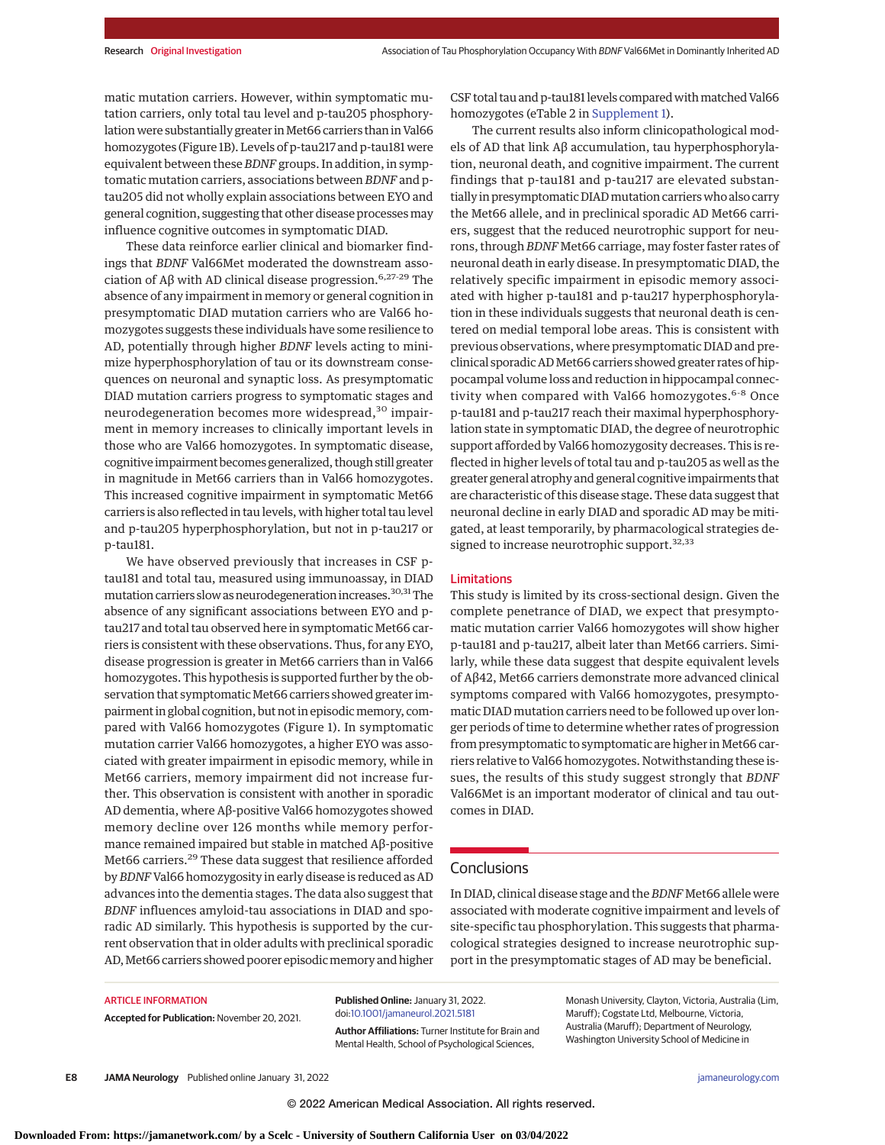matic mutation carriers. However, within symptomatic mutation carriers, only total tau level and p-tau205 phosphorylation were substantially greater in Met66 carriers than in Val66 homozygotes (Figure 1B). Levels of p-tau217 and p-tau181 were equivalent between these *BDNF* groups. In addition, in symptomatic mutation carriers, associations between *BDNF* and ptau205 did not wholly explain associations between EYO and general cognition, suggesting that other disease processesmay influence cognitive outcomes in symptomatic DIAD.

These data reinforce earlier clinical and biomarker findings that *BDNF* Val66Met moderated the downstream association of Aβ with AD clinical disease progression.<sup>6,27-29</sup> The absence of any impairment in memory or general cognition in presymptomatic DIAD mutation carriers who are Val66 homozygotes suggests these individuals have some resilience to AD, potentially through higher *BDNF* levels acting to minimize hyperphosphorylation of tau or its downstream consequences on neuronal and synaptic loss. As presymptomatic DIAD mutation carriers progress to symptomatic stages and neurodegeneration becomes more widespread,<sup>30</sup> impairment in memory increases to clinically important levels in those who are Val66 homozygotes. In symptomatic disease, cognitive impairment becomes generalized, though still greater in magnitude in Met66 carriers than in Val66 homozygotes. This increased cognitive impairment in symptomatic Met66 carriers is also reflected in tau levels, with higher total tau level and p-tau205 hyperphosphorylation, but not in p-tau217 or p-tau181.

We have observed previously that increases in CSF ptau181 and total tau, measured using immunoassay, in DIAD mutation carriers slow as neurodegeneration increases.<sup>30,31</sup>The absence of any significant associations between EYO and ptau217 and total tau observed here in symptomatic Met66 carriers is consistent with these observations. Thus, for any EYO, disease progression is greater in Met66 carriers than in Val66 homozygotes. This hypothesis is supported further by the observation that symptomatic Met66 carriers showed greater impairment in global cognition, but not in episodic memory, compared with Val66 homozygotes (Figure 1). In symptomatic mutation carrier Val66 homozygotes, a higher EYO was associated with greater impairment in episodic memory, while in Met66 carriers, memory impairment did not increase further. This observation is consistent with another in sporadic AD dementia, where Aβ-positive Val66 homozygotes showed memory decline over 126 months while memory performance remained impaired but stable in matched Aβ-positive Met66 carriers.<sup>29</sup> These data suggest that resilience afforded by*BDNF*Val66 homozygosity in early disease is reduced as AD advances into the dementia stages. The data also suggest that *BDNF* influences amyloid-tau associations in DIAD and sporadic AD similarly. This hypothesis is supported by the current observation that in older adults with preclinical sporadic AD, Met66 carriers showed poorer episodic memory and higher

CSF total tau and p-tau181 levels compared with matched Val66 homozygotes (eTable 2 in [Supplement 1\)](https://jamanetwork.com/journals/jama/fullarticle/10.1001/jamaneurol.2021.5181?utm_campaign=articlePDF%26utm_medium=articlePDFlink%26utm_source=articlePDF%26utm_content=jamaneurol.2021.5181).

The current results also inform clinicopathological models of AD that link Aβ accumulation, tau hyperphosphorylation, neuronal death, and cognitive impairment. The current findings that p-tau181 and p-tau217 are elevated substantially in presymptomatic DIADmutation carriers who also carry the Met66 allele, and in preclinical sporadic AD Met66 carriers, suggest that the reduced neurotrophic support for neurons, through *BDNF* Met66 carriage, may foster faster rates of neuronal death in early disease. In presymptomatic DIAD, the relatively specific impairment in episodic memory associated with higher p-tau181 and p-tau217 hyperphosphorylation in these individuals suggests that neuronal death is centered on medial temporal lobe areas. This is consistent with previous observations, where presymptomatic DIAD and preclinical sporadic ADMet66 carriers showed greater rates of hippocampal volume loss and reduction in hippocampal connectivity when compared with Val66 homozygotes.<sup>6-8</sup> Once p-tau181 and p-tau217 reach their maximal hyperphosphorylation state in symptomatic DIAD, the degree of neurotrophic support afforded by Val66 homozygosity decreases. This is reflected in higher levels of total tau and p-tau205 as well as the greater general atrophy and general cognitive impairments that are characteristic of this disease stage. These data suggest that neuronal decline in early DIAD and sporadic AD may be mitigated, at least temporarily, by pharmacological strategies designed to increase neurotrophic support.<sup>32,33</sup>

#### Limitations

This study is limited by its cross-sectional design. Given the complete penetrance of DIAD, we expect that presymptomatic mutation carrier Val66 homozygotes will show higher p-tau181 and p-tau217, albeit later than Met66 carriers. Similarly, while these data suggest that despite equivalent levels of Aβ42, Met66 carriers demonstrate more advanced clinical symptoms compared with Val66 homozygotes, presymptomatic DIAD mutation carriers need to be followed up over longer periods of time to determine whether rates of progression from presymptomatic to symptomatic are higher in Met66 carriers relative to Val66 homozygotes. Notwithstanding these issues, the results of this study suggest strongly that *BDNF* Val66Met is an important moderator of clinical and tau outcomes in DIAD.

# **Conclusions**

In DIAD, clinical disease stage and the*BDNF* Met66 allele were associated with moderate cognitive impairment and levels of site-specific tau phosphorylation. This suggests that pharmacological strategies designed to increase neurotrophic support in the presymptomatic stages of AD may be beneficial.

#### ARTICLE INFORMATION

**Accepted for Publication:** November 20, 2021.

**Published Online:** January 31, 2022. doi[:10.1001/jamaneurol.2021.5181](https://jamanetwork.com/journals/jama/fullarticle/10.1001/jamaneurol.2021.5181?utm_campaign=articlePDF%26utm_medium=articlePDFlink%26utm_source=articlePDF%26utm_content=jamaneurol.2021.5181)

**Author Affiliations:** Turner Institute for Brain and Mental Health, School of Psychological Sciences,

Monash University, Clayton, Victoria, Australia (Lim, Maruff); Cogstate Ltd, Melbourne, Victoria, Australia (Maruff); Department of Neurology, Washington University School of Medicine in

**E8 JAMA Neurology** Published online January 31, 2022 **(Reprinted)** [jamaneurology.com](http://www.jamaneurology.com?utm_campaign=articlePDF%26utm_medium=articlePDFlink%26utm_source=articlePDF%26utm_content=jamaneurol.2021.5181)

© 2022 American Medical Association. All rights reserved.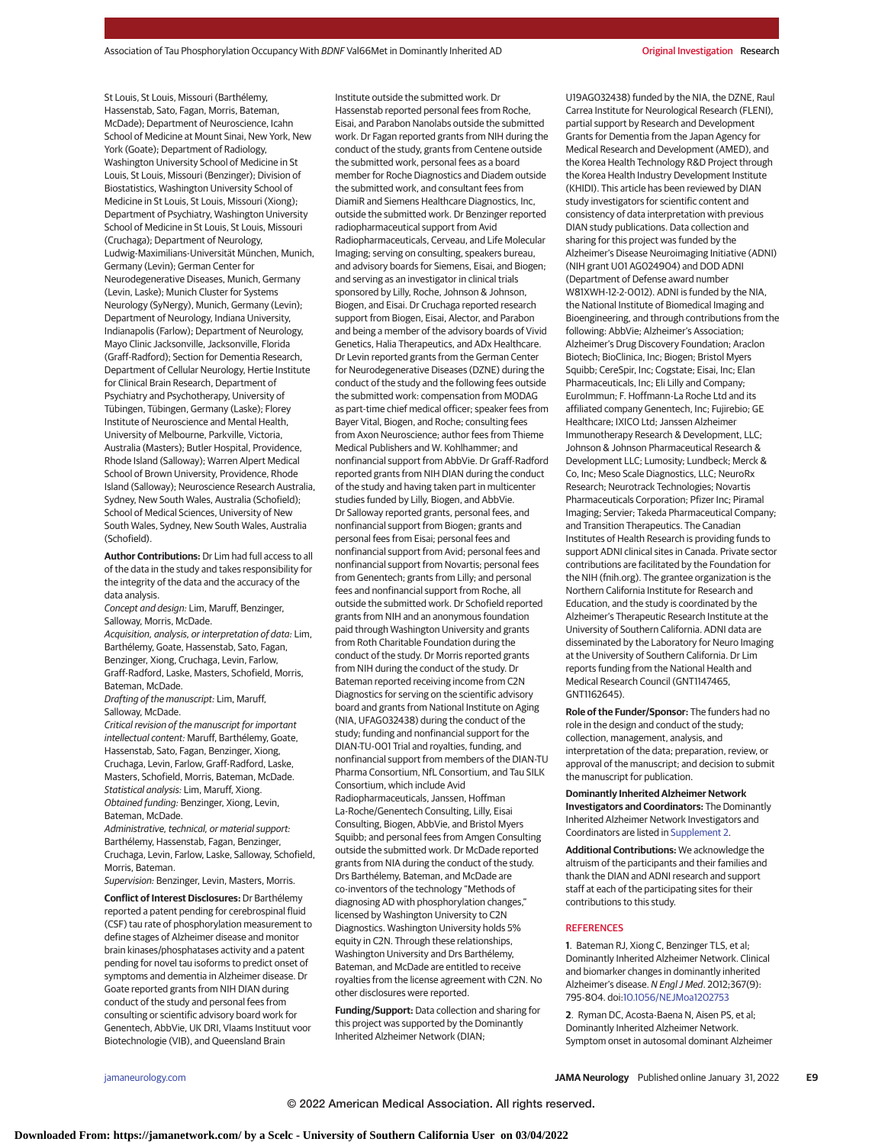St Louis, St Louis, Missouri (Barthélemy, Hassenstab, Sato, Fagan, Morris, Bateman, McDade); Department of Neuroscience, Icahn School of Medicine at Mount Sinai, New York, New York (Goate); Department of Radiology, Washington University School of Medicine in St Louis, St Louis, Missouri (Benzinger); Division of Biostatistics, Washington University School of Medicine in St Louis, St Louis, Missouri (Xiong); Department of Psychiatry, Washington University School of Medicine in St Louis, St Louis, Missouri (Cruchaga); Department of Neurology, Ludwig-Maximilians-Universität München, Munich, Germany (Levin); German Center for Neurodegenerative Diseases, Munich, Germany (Levin, Laske); Munich Cluster for Systems Neurology (SyNergy), Munich, Germany (Levin); Department of Neurology, Indiana University, Indianapolis (Farlow); Department of Neurology, Mayo Clinic Jacksonville, Jacksonville, Florida (Graff-Radford); Section for Dementia Research, Department of Cellular Neurology, Hertie Institute for Clinical Brain Research, Department of Psychiatry and Psychotherapy, University of Tübingen, Tübingen, Germany (Laske); Florey Institute of Neuroscience and Mental Health, University of Melbourne, Parkville, Victoria, Australia (Masters); Butler Hospital, Providence, Rhode Island (Salloway); Warren Alpert Medical School of Brown University, Providence, Rhode Island (Salloway); Neuroscience Research Australia, Sydney, New South Wales, Australia (Schofield); School of Medical Sciences, University of New South Wales, Sydney, New South Wales, Australia (Schofield).

**Author Contributions:** Dr Lim had full access to all of the data in the study and takes responsibility for the integrity of the data and the accuracy of the data analysis.

Concept and design: Lim, Maruff, Benzinger, Salloway, Morris, McDade.

Acquisition, analysis, or interpretation of data: Lim, Barthélemy, Goate, Hassenstab, Sato, Fagan, Benzinger, Xiong, Cruchaga, Levin, Farlow, Graff-Radford, Laske, Masters, Schofield, Morris, Bateman, McDade.

Drafting of the manuscript: Lim, Maruff, Salloway, McDade.

Critical revision of the manuscript for important intellectual content: Maruff, Barthélemy, Goate, Hassenstab, Sato, Fagan, Benzinger, Xiong, Cruchaga, Levin, Farlow, Graff-Radford, Laske, Masters, Schofield, Morris, Bateman, McDade. Statistical analysis: Lim, Maruff, Xiong. Obtained funding: Benzinger, Xiong, Levin, Bateman, McDade.

Administrative, technical, or material support: Barthélemy, Hassenstab, Fagan, Benzinger, Cruchaga, Levin, Farlow, Laske, Salloway, Schofield, Morris, Bateman.

Supervision: Benzinger, Levin, Masters, Morris.

**Conflict of Interest Disclosures:** Dr Barthélemy reported a patent pending for cerebrospinal fluid (CSF) tau rate of phosphorylation measurement to define stages of Alzheimer disease and monitor brain kinases/phosphatases activity and a patent pending for novel tau isoforms to predict onset of symptoms and dementia in Alzheimer disease. Dr Goate reported grants from NIH DIAN during conduct of the study and personal fees from consulting or scientific advisory board work for Genentech, AbbVie, UK DRI, Vlaams Instituut voor Biotechnologie (VIB), and Queensland Brain

Institute outside the submitted work. Dr Hassenstab reported personal fees from Roche, Eisai, and Parabon Nanolabs outside the submitted work. Dr Fagan reported grants from NIH during the conduct of the study, grants from Centene outside the submitted work, personal fees as a board member for Roche Diagnostics and Diadem outside the submitted work, and consultant fees from DiamiR and Siemens Healthcare Diagnostics, Inc, outside the submitted work. Dr Benzinger reported radiopharmaceutical support from Avid Radiopharmaceuticals, Cerveau, and Life Molecular Imaging; serving on consulting, speakers bureau, and advisory boards for Siemens, Eisai, and Biogen; and serving as an investigator in clinical trials sponsored by Lilly, Roche, Johnson & Johnson, Biogen, and Eisai. Dr Cruchaga reported research support from Biogen, Eisai, Alector, and Parabon and being a member of the advisory boards of Vivid Genetics, Halia Therapeutics, and ADx Healthcare. Dr Levin reported grants from the German Center for Neurodegenerative Diseases (DZNE) during the conduct of the study and the following fees outside the submitted work: compensation from MODAG as part-time chief medical officer; speaker fees from Bayer Vital, Biogen, and Roche; consulting fees from Axon Neuroscience; author fees from Thieme Medical Publishers and W. Kohlhammer; and nonfinancial support from AbbVie. Dr Graff-Radford reported grants from NIH DIAN during the conduct of the study and having taken part in multicenter studies funded by Lilly, Biogen, and AbbVie. Dr Salloway reported grants, personal fees, and nonfinancial support from Biogen; grants and personal fees from Eisai; personal fees and nonfinancial support from Avid; personal fees and nonfinancial support from Novartis; personal fees from Genentech; grants from Lilly; and personal fees and nonfinancial support from Roche, all outside the submitted work. Dr Schofield reported grants from NIH and an anonymous foundation paid through Washington University and grants from Roth Charitable Foundation during the conduct of the study. Dr Morris reported grants from NIH during the conduct of the study. Dr Bateman reported receiving income from C2N Diagnostics for serving on the scientific advisory board and grants from National Institute on Aging (NIA, UFAG032438) during the conduct of the study; funding and nonfinancial support for the DIAN-TU-001 Trial and royalties, funding, and nonfinancial support from members of the DIAN-TU Pharma Consortium, NfL Consortium, and Tau SILK Consortium, which include Avid Radiopharmaceuticals, Janssen, Hoffman La-Roche/Genentech Consulting, Lilly, Eisai Consulting, Biogen, AbbVie, and Bristol Myers Squibb; and personal fees from Amgen Consulting outside the submitted work. Dr McDade reported grants from NIA during the conduct of the study. Drs Barthélemy, Bateman, and McDade are co-inventors of the technology "Methods of diagnosing AD with phosphorylation changes," licensed by Washington University to C2N Diagnostics. Washington University holds 5% equity in C2N. Through these relationships, Washington University and Drs Barthélemy, Bateman, and McDade are entitled to receive royalties from the license agreement with C2N. No other disclosures were reported.

**Funding/Support:** Data collection and sharing for this project was supported by the Dominantly Inherited Alzheimer Network (DIAN;

U19AG032438) funded by the NIA, the DZNE, Raul Carrea Institute for Neurological Research (FLENI), partial support by Research and Development Grants for Dementia from the Japan Agency for Medical Research and Development (AMED), and the Korea Health Technology R&D Project through the Korea Health Industry Development Institute (KHIDI). This article has been reviewed by DIAN study investigators for scientific content and consistency of data interpretation with previous DIAN study publications. Data collection and sharing for this project was funded by the Alzheimer's Disease Neuroimaging Initiative (ADNI) (NIH grant U01 AG024904) and DOD ADNI (Department of Defense award number W81XWH-12-2-0012). ADNI is funded by the NIA, the National Institute of Biomedical Imaging and Bioengineering, and through contributions from the following: AbbVie; Alzheimer's Association; Alzheimer's Drug Discovery Foundation; Araclon Biotech; BioClinica, Inc; Biogen; Bristol Myers Squibb; CereSpir, Inc; Cogstate; Eisai, Inc; Elan Pharmaceuticals, Inc; Eli Lilly and Company; EuroImmun; F. Hoffmann-La Roche Ltd and its affiliated company Genentech, Inc; Fujirebio; GE Healthcare; IXICO Ltd; Janssen Alzheimer Immunotherapy Research & Development, LLC; Johnson & Johnson Pharmaceutical Research & Development LLC; Lumosity; Lundbeck; Merck & Co, Inc; Meso Scale Diagnostics, LLC; NeuroRx Research; Neurotrack Technologies; Novartis Pharmaceuticals Corporation; Pfizer Inc; Piramal Imaging; Servier; Takeda Pharmaceutical Company; and Transition Therapeutics. The Canadian Institutes of Health Research is providing funds to support ADNI clinical sites in Canada. Private sector contributions are facilitated by the Foundation for the NIH (fnih.org). The grantee organization is the Northern California Institute for Research and Education, and the study is coordinated by the Alzheimer's Therapeutic Research Institute at the University of Southern California. ADNI data are disseminated by the Laboratory for Neuro Imaging at the University of Southern California. Dr Lim reports funding from the National Health and Medical Research Council (GNT1147465, GNT1162645).

**Role of the Funder/Sponsor:** The funders had no role in the design and conduct of the study; collection, management, analysis, and interpretation of the data; preparation, review, or approval of the manuscript; and decision to submit the manuscript for publication.

**Dominantly Inherited Alzheimer Network Investigators and Coordinators:** The Dominantly Inherited Alzheimer Network Investigators and Coordinators are listed in [Supplement 2.](https://jamanetwork.com/journals/jama/fullarticle/10.1001/jamaneurol.2021.5181?utm_campaign=articlePDF%26utm_medium=articlePDFlink%26utm_source=articlePDF%26utm_content=jamaneurol.2021.5181)

**Additional Contributions:** We acknowledge the altruism of the participants and their families and thank the DIAN and ADNI research and support staff at each of the participating sites for their contributions to this study.

## **REFERENCES**

**1**. Bateman RJ, Xiong C, Benzinger TLS, et al; Dominantly Inherited Alzheimer Network. Clinical and biomarker changes in dominantly inherited Alzheimer's disease. N Engl J Med. 2012;367(9): 795-804. doi[:10.1056/NEJMoa1202753](https://dx.doi.org/10.1056/NEJMoa1202753)

**2**. Ryman DC, Acosta-Baena N, Aisen PS, et al; Dominantly Inherited Alzheimer Network. Symptom onset in autosomal dominant Alzheimer